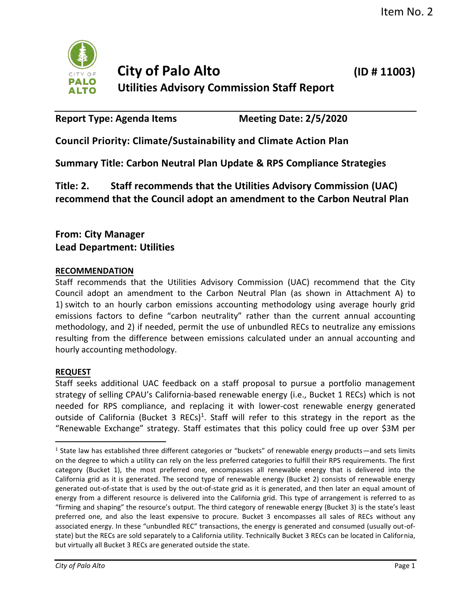

# **City of Palo Alto (ID # 11003) Utilities Advisory Commission Staff Report**

Report Type: Agenda Items Meeting Date: 2/5/2020

**Council Priority: Climate/Sustainability and Climate Action Plan** 

**Summary Title: Carbon Neutral Plan Update & RPS Compliance Strategies** 

**Title: 2. Staff recommends that the Utilities Advisory Commission (UAC) recommend that the Council adopt an amendment to the Carbon Neutral Plan**

## **From: City Manager Lead Department: Utilities**

## **RECOMMENDATION**

Staff recommends that the Utilities Advisory Commission (UAC) recommend that the City Council adopt an amendment to the Carbon Neutral Plan (as shown in Attachment A) to 1) switch to an hourly carbon emissions accounting methodology using average hourly grid emissions factors to define "carbon neutrality" rather than the current annual accounting methodology, and 2) if needed, permit the use of unbundled RECs to neutralize any emissions resulting from the difference between emissions calculated under an annual accounting and hourly accounting methodology.

## **REQUEST**

Staff seeks additional UAC feedback on a staff proposal to pursue a portfolio management strategy of selling CPAU's California-based renewable energy (i.e., Bucket 1 RECs) which is not needed for RPS compliance, and replacing it with lower-cost renewable energy generated outside of California (Bucket 3 RECs)<sup>1</sup>. Staff will refer to this strategy in the report as the "Renewable Exchange" strategy. Staff estimates that this policy could free up over \$3M per

<sup>&</sup>lt;sup>1</sup> State law has established three different categories or "buckets" of renewable energy products—and sets limits on the degree to which a utility can rely on the less preferred categories to fulfill their RPS requirements. The first category (Bucket 1), the most preferred one, encompasses all renewable energy that is delivered into the California grid as it is generated. The second type of renewable energy (Bucket 2) consists of renewable energy generated out-of-state that is used by the out-of-state grid as it is generated, and then later an equal amount of energy from a different resource is delivered into the California grid. This type of arrangement is referred to as "firming and shaping" the resource's output. The third category of renewable energy (Bucket 3) is the state's least preferred one, and also the least expensive to procure. Bucket 3 encompasses all sales of RECs without any associated energy. In these "unbundled REC" transactions, the energy is generated and consumed (usually out-ofstate) but the RECs are sold separately to a California utility. Technically Bucket 3 RECs can be located in California, but virtually all Bucket 3 RECs are generated outside the state.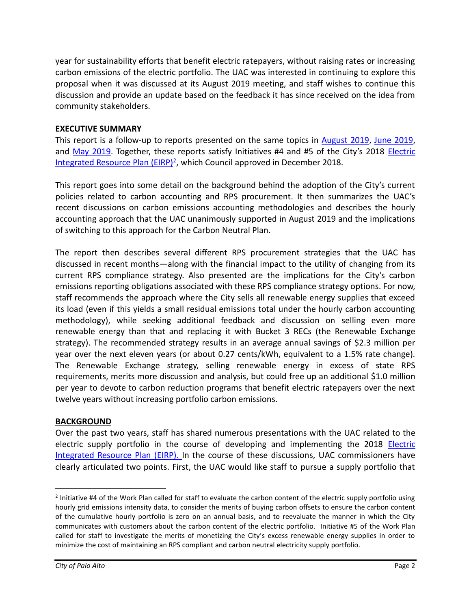year for sustainability efforts that benefit electric ratepayers, without raising rates or increasing carbon emissions of the electric portfolio. The UAC was interested in continuing to explore this proposal when it was discussed at its August 2019 meeting, and staff wishes to continue this discussion and provide an update based on the feedback it has since received on the idea from community stakeholders.

## **EXECUTIVE SUMMARY**

This report is a follow-up to reports presented on the same topics in [August 2019,](http://cityofpaloalto.org/civicax/filebank/documents/72681) [June 2019,](http://cityofpaloalto.org/civicax/filebank/documents/71698) and [May 2019](http://cityofpaloalto.org/civicax/filebank/documents/70939). Together, these reports satisfy Initiatives #4 and #5 of the City's 2018 [Electric](https://www.cityofpaloalto.org/civicax/filebank/documents/67789)  [Integrated Resource Plan \(EIRP\)](https://www.cityofpaloalto.org/civicax/filebank/documents/67789)<sup>2</sup>, which Council approved in December 2018.

This report goes into some detail on the background behind the adoption of the City's current policies related to carbon accounting and RPS procurement. It then summarizes the UAC's recent discussions on carbon emissions accounting methodologies and describes the hourly accounting approach that the UAC unanimously supported in August 2019 and the implications of switching to this approach for the Carbon Neutral Plan.

The report then describes several different RPS procurement strategies that the UAC has discussed in recent months—along with the financial impact to the utility of changing from its current RPS compliance strategy. Also presented are the implications for the City's carbon emissions reporting obligations associated with these RPS compliance strategy options. For now, staff recommends the approach where the City sells all renewable energy supplies that exceed its load (even if this yields a small residual emissions total under the hourly carbon accounting methodology), while seeking additional feedback and discussion on selling even more renewable energy than that and replacing it with Bucket 3 RECs (the Renewable Exchange strategy). The recommended strategy results in an average annual savings of \$2.3 million per year over the next eleven years (or about 0.27 cents/kWh, equivalent to a 1.5% rate change). The Renewable Exchange strategy, selling renewable energy in excess of state RPS requirements, merits more discussion and analysis, but could free up an additional \$1.0 million per year to devote to carbon reduction programs that benefit electric ratepayers over the next twelve years without increasing portfolio carbon emissions.

#### **BACKGROUND**

Over the past two years, staff has shared numerous presentations with the UAC related to the electric supply portfolio in the course of developing and implementing the 2018 [Electric](https://www.cityofpaloalto.org/civicax/filebank/documents/67789)  [Integrated Resource Plan \(EIRP\).](https://www.cityofpaloalto.org/civicax/filebank/documents/67789) In the course of these discussions, UAC commissioners have clearly articulated two points. First, the UAC would like staff to pursue a supply portfolio that

 $2$  Initiative #4 of the Work Plan called for staff to evaluate the carbon content of the electric supply portfolio using hourly grid emissions intensity data, to consider the merits of buying carbon offsets to ensure the carbon content of the cumulative hourly portfolio is zero on an annual basis, and to reevaluate the manner in which the City communicates with customers about the carbon content of the electric portfolio. Initiative #5 of the Work Plan called for staff to investigate the merits of monetizing the City's excess renewable energy supplies in order to minimize the cost of maintaining an RPS compliant and carbon neutral electricity supply portfolio.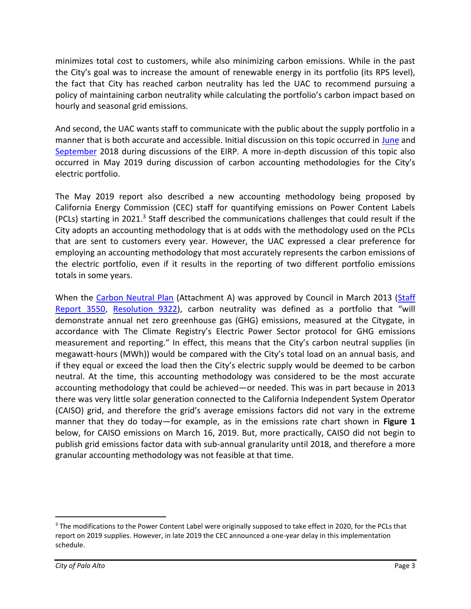minimizes total cost to customers, while also minimizing carbon emissions. While in the past the City's goal was to increase the amount of renewable energy in its portfolio (its RPS level), the fact that City has reached carbon neutrality has led the UAC to recommend pursuing a policy of maintaining carbon neutrality while calculating the portfolio's carbon impact based on hourly and seasonal grid emissions.

And second, the UAC wants staff to communicate with the public about the supply portfolio in a manner that is both accurate and accessible. Initial discussion on this topic occurred in [June](https://www.cityofpaloalto.org/civicax/filebank/documents/65327) and [September](https://www.cityofpaloalto.org/civicax/filebank/documents/66559) 2018 during discussions of the EIRP. A more in-depth discussion of this topic also occurred in May 2019 during discussion of carbon accounting methodologies for the City's electric portfolio.

The May 2019 report also described a new accounting methodology being proposed by California Energy Commission (CEC) staff for quantifying emissions on Power Content Labels (PCLs) starting in 2021.<sup>3</sup> Staff described the communications challenges that could result if the City adopts an accounting methodology that is at odds with the methodology used on the PCLs that are sent to customers every year. However, the UAC expressed a clear preference for employing an accounting methodology that most accurately represents the carbon emissions of the electric portfolio, even if it results in the reporting of two different portfolio emissions totals in some years.

When the [Carbon Neutral Plan](https://www.cityofpaloalto.org/civicax/filebank/documents/45032) (Attachment A) was approved by Council in March 2013 [\(Staff](https://www.cityofpaloalto.org/civicax/filebank/documents/33220)  [Report 3550,](https://www.cityofpaloalto.org/civicax/filebank/documents/33220) [Resolution 9322](https://www.cityofpaloalto.org/civicax/filebank/documents/33835)), carbon neutrality was defined as a portfolio that "will demonstrate annual net zero greenhouse gas (GHG) emissions, measured at the Citygate, in accordance with The Climate Registry's Electric Power Sector protocol for GHG emissions measurement and reporting." In effect, this means that the City's carbon neutral supplies (in megawatt-hours (MWh)) would be compared with the City's total load on an annual basis, and if they equal or exceed the load then the City's electric supply would be deemed to be carbon neutral. At the time, this accounting methodology was considered to be the most accurate accounting methodology that could be achieved—or needed. This was in part because in 2013 there was very little solar generation connected to the California Independent System Operator (CAISO) grid, and therefore the grid's average emissions factors did not vary in the extreme manner that they do today—for example, as in the emissions rate chart shown in **[Figure 1](#page-3-0)** below, for CAISO emissions on March 16, 2019. But, more practically, CAISO did not begin to publish grid emissions factor data with sub-annual granularity until 2018, and therefore a more granular accounting methodology was not feasible at that time.

<sup>&</sup>lt;sup>3</sup> The modifications to the Power Content Label were originally supposed to take effect in 2020, for the PCLs that report on 2019 supplies. However, in late 2019 the CEC announced a one-year delay in this implementation schedule.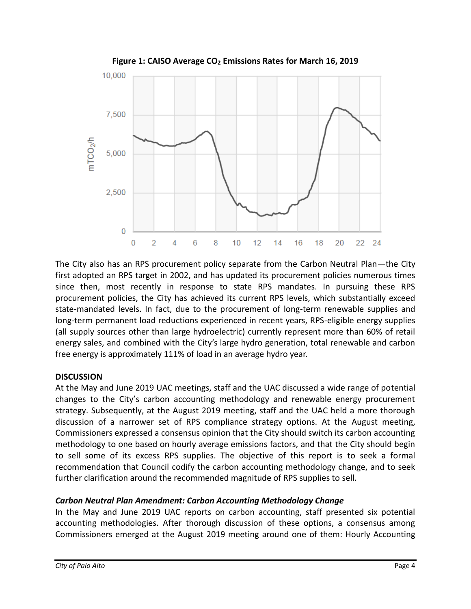<span id="page-3-0"></span>

**Figure 1: CAISO Average CO<sup>2</sup> Emissions Rates for March 16, 2019**

The City also has an RPS procurement policy separate from the Carbon Neutral Plan—the City first adopted an RPS target in 2002, and has updated its procurement policies numerous times since then, most recently in response to state RPS mandates. In pursuing these RPS procurement policies, the City has achieved its current RPS levels, which substantially exceed state-mandated levels. In fact, due to the procurement of long-term renewable supplies and long-term permanent load reductions experienced in recent years, RPS-eligible energy supplies (all supply sources other than large hydroelectric) currently represent more than 60% of retail energy sales, and combined with the City's large hydro generation, total renewable and carbon free energy is approximately 111% of load in an average hydro year.

#### **DISCUSSION**

At the May and June 2019 UAC meetings, staff and the UAC discussed a wide range of potential changes to the City's carbon accounting methodology and renewable energy procurement strategy. Subsequently, at the August 2019 meeting, staff and the UAC held a more thorough discussion of a narrower set of RPS compliance strategy options. At the August meeting, Commissioners expressed a consensus opinion that the City should switch its carbon accounting methodology to one based on hourly average emissions factors, and that the City should begin to sell some of its excess RPS supplies. The objective of this report is to seek a formal recommendation that Council codify the carbon accounting methodology change, and to seek further clarification around the recommended magnitude of RPS supplies to sell.

#### *Carbon Neutral Plan Amendment: Carbon Accounting Methodology Change*

In the May and June 2019 UAC reports on carbon accounting, staff presented six potential accounting methodologies. After thorough discussion of these options, a consensus among Commissioners emerged at the August 2019 meeting around one of them: Hourly Accounting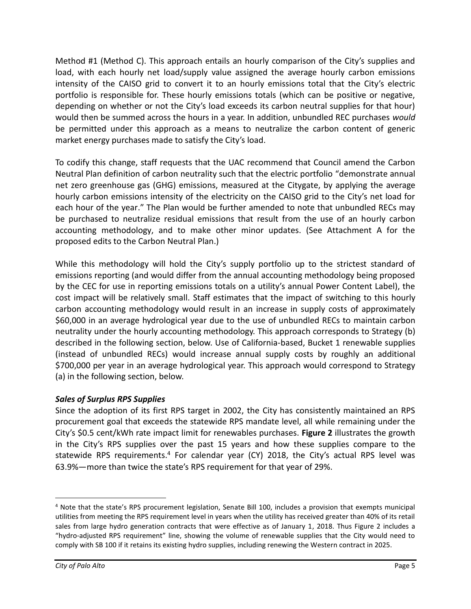Method #1 (Method C). This approach entails an hourly comparison of the City's supplies and load, with each hourly net load/supply value assigned the average hourly carbon emissions intensity of the CAISO grid to convert it to an hourly emissions total that the City's electric portfolio is responsible for. These hourly emissions totals (which can be positive or negative, depending on whether or not the City's load exceeds its carbon neutral supplies for that hour) would then be summed across the hours in a year. In addition, unbundled REC purchases *would* be permitted under this approach as a means to neutralize the carbon content of generic market energy purchases made to satisfy the City's load.

To codify this change, staff requests that the UAC recommend that Council amend the Carbon Neutral Plan definition of carbon neutrality such that the electric portfolio "demonstrate annual net zero greenhouse gas (GHG) emissions, measured at the Citygate, by applying the average hourly carbon emissions intensity of the electricity on the CAISO grid to the City's net load for each hour of the year." The Plan would be further amended to note that unbundled RECs may be purchased to neutralize residual emissions that result from the use of an hourly carbon accounting methodology, and to make other minor updates. (See Attachment A for the proposed edits to the Carbon Neutral Plan.)

While this methodology will hold the City's supply portfolio up to the strictest standard of emissions reporting (and would differ from the annual accounting methodology being proposed by the CEC for use in reporting emissions totals on a utility's annual Power Content Label), the cost impact will be relatively small. Staff estimates that the impact of switching to this hourly carbon accounting methodology would result in an increase in supply costs of approximately \$60,000 in an average hydrological year due to the use of unbundled RECs to maintain carbon neutrality under the hourly accounting methodology. This approach corresponds to Strategy (b) described in the following section, below. Use of California-based, Bucket 1 renewable supplies (instead of unbundled RECs) would increase annual supply costs by roughly an additional \$700,000 per year in an average hydrological year. This approach would correspond to Strategy (a) in the following section, below.

## *Sales of Surplus RPS Supplies*

Since the adoption of its first RPS target in 2002, the City has consistently maintained an RPS procurement goal that exceeds the statewide RPS mandate level, all while remaining under the City's \$0.5 cent/kWh rate impact limit for renewables purchases. **[Figure 2](#page-5-0)** illustrates the growth in the City's RPS supplies over the past 15 years and how these supplies compare to the statewide RPS requirements.<sup>4</sup> For calendar year (CY) 2018, the City's actual RPS level was 63.9%—more than twice the state's RPS requirement for that year of 29%.

<sup>4</sup> Note that the state's RPS procurement legislation, Senate Bill 100, includes a provision that exempts municipal utilities from meeting the RPS requirement level in years when the utility has received greater than 40% of its retail sales from large hydro generation contracts that were effective as of January 1, 2018. Thus Figure 2 includes a "hydro-adjusted RPS requirement" line, showing the volume of renewable supplies that the City would need to comply with SB 100 if it retains its existing hydro supplies, including renewing the Western contract in 2025.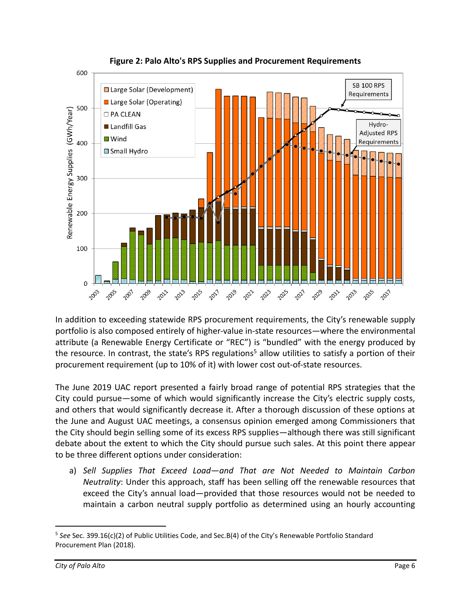<span id="page-5-0"></span>

**Figure 2: Palo Alto's RPS Supplies and Procurement Requirements**

In addition to exceeding statewide RPS procurement requirements, the City's renewable supply portfolio is also composed entirely of higher-value in-state resources—where the environmental attribute (a Renewable Energy Certificate or "REC") is "bundled" with the energy produced by the resource. In contrast, the state's RPS regulations<sup>5</sup> allow utilities to satisfy a portion of their procurement requirement (up to 10% of it) with lower cost out-of-state resources.

The June 2019 UAC report presented a fairly broad range of potential RPS strategies that the City could pursue—some of which would significantly increase the City's electric supply costs, and others that would significantly decrease it. After a thorough discussion of these options at the June and August UAC meetings, a consensus opinion emerged among Commissioners that the City should begin selling some of its excess RPS supplies—although there was still significant debate about the extent to which the City should pursue such sales. At this point there appear to be three different options under consideration:

a) *Sell Supplies That Exceed Load—and That are Not Needed to Maintain Carbon Neutrality*: Under this approach, staff has been selling off the renewable resources that exceed the City's annual load—provided that those resources would not be needed to maintain a carbon neutral supply portfolio as determined using an hourly accounting

<sup>5</sup> *See* Sec. 399.16(c)(2) of Public Utilities Code, and Sec.B(4) of the City's Renewable Portfolio Standard Procurement Plan (2018).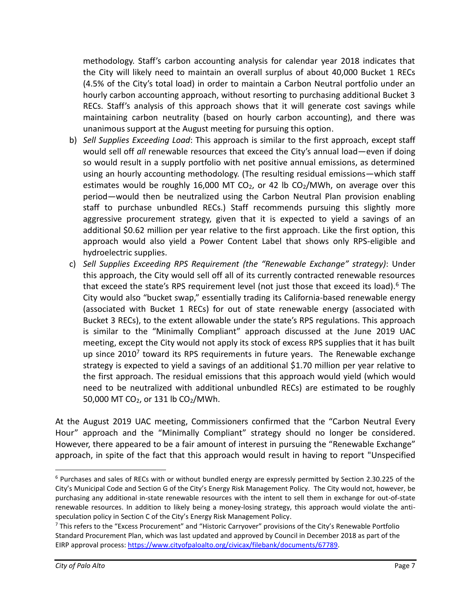methodology. Staff's carbon accounting analysis for calendar year 2018 indicates that the City will likely need to maintain an overall surplus of about 40,000 Bucket 1 RECs (4.5% of the City's total load) in order to maintain a Carbon Neutral portfolio under an hourly carbon accounting approach, without resorting to purchasing additional Bucket 3 RECs. Staff's analysis of this approach shows that it will generate cost savings while maintaining carbon neutrality (based on hourly carbon accounting), and there was unanimous support at the August meeting for pursuing this option.

- b) *Sell Supplies Exceeding Load*: This approach is similar to the first approach, except staff would sell off *all* renewable resources that exceed the City's annual load—even if doing so would result in a supply portfolio with net positive annual emissions, as determined using an hourly accounting methodology. (The resulting residual emissions—which staff estimates would be roughly 16,000 MT CO<sub>2</sub>, or 42 lb CO<sub>2</sub>/MWh, on average over this period—would then be neutralized using the Carbon Neutral Plan provision enabling staff to purchase unbundled RECs.) Staff recommends pursuing this slightly more aggressive procurement strategy, given that it is expected to yield a savings of an additional \$0.62 million per year relative to the first approach. Like the first option, this approach would also yield a Power Content Label that shows only RPS-eligible and hydroelectric supplies.
- c) *Sell Supplies Exceeding RPS Requirement (the "Renewable Exchange" strategy)*: Under this approach, the City would sell off all of its currently contracted renewable resources that exceed the state's RPS requirement level (not just those that exceed its load).<sup>6</sup> The City would also "bucket swap," essentially trading its California-based renewable energy (associated with Bucket 1 RECs) for out of state renewable energy (associated with Bucket 3 RECs), to the extent allowable under the state's RPS regulations. This approach is similar to the "Minimally Compliant" approach discussed at the June 2019 UAC meeting, except the City would not apply its stock of excess RPS supplies that it has built up since 2010<sup>7</sup> toward its RPS requirements in future years. The Renewable exchange strategy is expected to yield a savings of an additional \$1.70 million per year relative to the first approach. The residual emissions that this approach would yield (which would need to be neutralized with additional unbundled RECs) are estimated to be roughly 50,000 MT CO<sub>2</sub>, or 131 lb CO<sub>2</sub>/MWh.

At the August 2019 UAC meeting, Commissioners confirmed that the "Carbon Neutral Every Hour" approach and the "Minimally Compliant" strategy should no longer be considered. However, there appeared to be a fair amount of interest in pursuing the "Renewable Exchange" approach, in spite of the fact that this approach would result in having to report "Unspecified

 $6$  Purchases and sales of RECs with or without bundled energy are expressly permitted by Section 2.30.225 of the City's Municipal Code and Section G of the City's Energy Risk Management Policy. The City would not, however, be purchasing any additional in-state renewable resources with the intent to sell them in exchange for out-of-state renewable resources. In addition to likely being a money-losing strategy, this approach would violate the antispeculation policy in Section C of the City's Energy Risk Management Policy.

<sup>7</sup> This refers to the "Excess Procurement" and "Historic Carryover" provisions of the City's Renewable Portfolio Standard Procurement Plan, which was last updated and approved by Council in December 2018 as part of the EIRP approval process[: https://www.cityofpaloalto.org/civicax/filebank/documents/67789.](https://www.cityofpaloalto.org/civicax/filebank/documents/67789)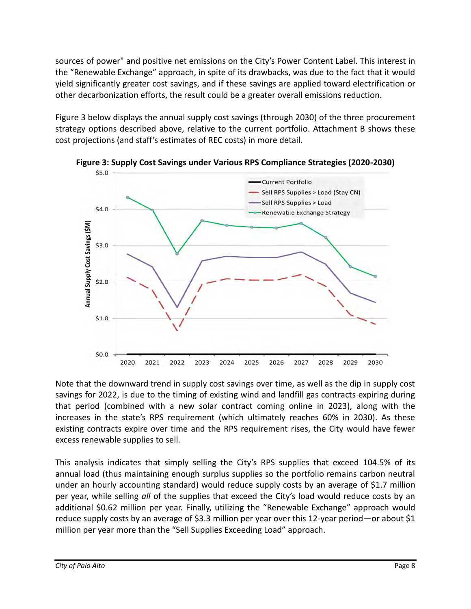sources of power" and positive net emissions on the City's Power Content Label. This interest in the "Renewable Exchange" approach, in spite of its drawbacks, was due to the fact that it would yield significantly greater cost savings, and if these savings are applied toward electrification or other decarbonization efforts, the result could be a greater overall emissions reduction.

[Figure 3](#page-7-0) below displays the annual supply cost savings (through 2030) of the three procurement strategy options described above, relative to the current portfolio. Attachment B shows these cost projections (and staff's estimates of REC costs) in more detail.



<span id="page-7-0"></span>**Figure 3: Supply Cost Savings under Various RPS Compliance Strategies (2020-2030)**

Note that the downward trend in supply cost savings over time, as well as the dip in supply cost savings for 2022, is due to the timing of existing wind and landfill gas contracts expiring during that period (combined with a new solar contract coming online in 2023), along with the increases in the state's RPS requirement (which ultimately reaches 60% in 2030). As these existing contracts expire over time and the RPS requirement rises, the City would have fewer excess renewable supplies to sell.

This analysis indicates that simply selling the City's RPS supplies that exceed 104.5% of its annual load (thus maintaining enough surplus supplies so the portfolio remains carbon neutral under an hourly accounting standard) would reduce supply costs by an average of \$1.7 million per year, while selling *all* of the supplies that exceed the City's load would reduce costs by an additional \$0.62 million per year. Finally, utilizing the "Renewable Exchange" approach would reduce supply costs by an average of \$3.3 million per year over this 12-year period—or about \$1 million per year more than the "Sell Supplies Exceeding Load" approach.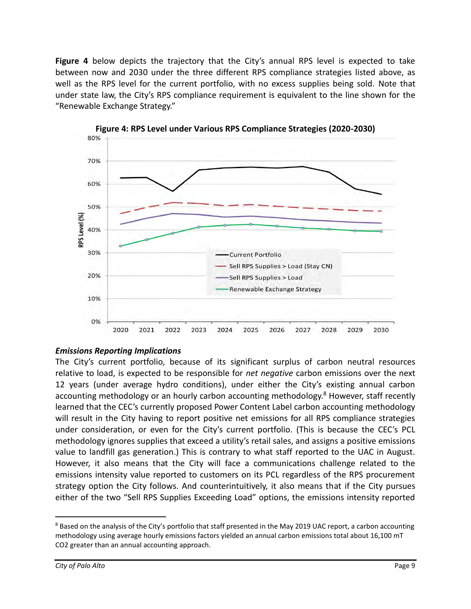**[Figure 4](#page-8-0)** below depicts the trajectory that the City's annual RPS level is expected to take between now and 2030 under the three different RPS compliance strategies listed above, as well as the RPS level for the current portfolio, with no excess supplies being sold. Note that under state law, the City's RPS compliance requirement is equivalent to the line shown for the "Renewable Exchange Strategy."

<span id="page-8-0"></span>



#### *Emissions Reporting Implications*

The City's current portfolio, because of its significant surplus of carbon neutral resources relative to load, is expected to be responsible for *net negative* carbon emissions over the next 12 years (under average hydro conditions), under either the City's existing annual carbon accounting methodology or an hourly carbon accounting methodology.<sup>8</sup> However, staff recently learned that the CEC's currently proposed Power Content Label carbon accounting methodology will result in the City having to report positive net emissions for all RPS compliance strategies under consideration, or even for the City's current portfolio. (This is because the CEC's PCL methodology ignores supplies that exceed a utility's retail sales, and assigns a positive emissions value to landfill gas generation.) This is contrary to what staff reported to the UAC in August. However, it also means that the City will face a communications challenge related to the emissions intensity value reported to customers on its PCL regardless of the RPS procurement strategy option the City follows. And counterintuitively, it also means that if the City pursues either of the two "Sell RPS Supplies Exceeding Load" options, the emissions intensity reported

<sup>&</sup>lt;sup>8</sup> Based on the analysis of the City's portfolio that staff presented in the May 2019 UAC report, a carbon accounting methodology using average hourly emissions factors yielded an annual carbon emissions total about 16,100 mT CO2 greater than an annual accounting approach.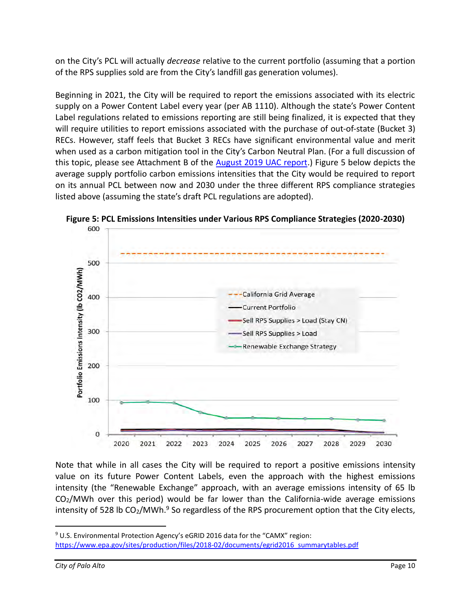on the City's PCL will actually *decrease* relative to the current portfolio (assuming that a portion of the RPS supplies sold are from the City's landfill gas generation volumes).

Beginning in 2021, the City will be required to report the emissions associated with its electric supply on a Power Content Label every year (per AB 1110). Although the state's Power Content Label regulations related to emissions reporting are still being finalized, it is expected that they will require utilities to report emissions associated with the purchase of out-of-state (Bucket 3) RECs. However, staff feels that Bucket 3 RECs have significant environmental value and merit when used as a carbon mitigation tool in the City's Carbon Neutral Plan. (For a full discussion of this topic, please see Attachment B of the [August 2019 UAC report.](http://cityofpaloalto.org/civicax/filebank/documents/72681)) [Figure 5](#page-9-0) below depicts the average supply portfolio carbon emissions intensities that the City would be required to report on its annual PCL between now and 2030 under the three different RPS compliance strategies listed above (assuming the state's draft PCL regulations are adopted).



<span id="page-9-0"></span>**Figure 5: PCL Emissions Intensities under Various RPS Compliance Strategies (2020-2030)**

Note that while in all cases the City will be required to report a positive emissions intensity value on its future Power Content Labels, even the approach with the highest emissions intensity (the "Renewable Exchange" approach, with an average emissions intensity of 65 lb  $CO<sub>2</sub>/MWh$  over this period) would be far lower than the California-wide average emissions intensity of 528 lb  $CO<sub>2</sub>/MWh.<sup>9</sup>$  So regardless of the RPS procurement option that the City elects,

<sup>&</sup>lt;sup>9</sup> U.S. Environmental Protection Agency's eGRID 2016 data for the "CAMX" region: [https://www.epa.gov/sites/production/files/2018-02/documents/egrid2016\\_summarytables.pdf](https://www.epa.gov/sites/production/files/2018-02/documents/egrid2016_summarytables.pdf)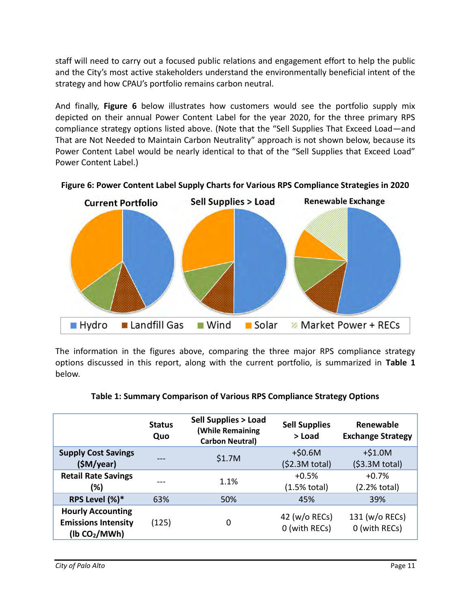staff will need to carry out a focused public relations and engagement effort to help the public and the City's most active stakeholders understand the environmentally beneficial intent of the strategy and how CPAU's portfolio remains carbon neutral.

And finally, **[Figure 6](#page-10-0)** below illustrates how customers would see the portfolio supply mix depicted on their annual Power Content Label for the year 2020, for the three primary RPS compliance strategy options listed above. (Note that the "Sell Supplies That Exceed Load—and That are Not Needed to Maintain Carbon Neutrality" approach is not shown below, because its Power Content Label would be nearly identical to that of the "Sell Supplies that Exceed Load" Power Content Label.)



<span id="page-10-0"></span>**Figure 6: Power Content Label Supply Charts for Various RPS Compliance Strategies in 2020**

The information in the figures above, comparing the three major RPS compliance strategy options discussed in this report, along with the current portfolio, is summarized in **[Table 1](#page-10-1)** below.

<span id="page-10-1"></span>

|                                                                                     | <b>Status</b><br>Quo | <b>Sell Supplies &gt; Load</b><br><b>(While Remaining</b><br><b>Carbon Neutral)</b> | <b>Sell Supplies</b><br>> Load    | Renewable<br><b>Exchange Strategy</b> |
|-------------------------------------------------------------------------------------|----------------------|-------------------------------------------------------------------------------------|-----------------------------------|---------------------------------------|
| <b>Supply Cost Savings</b><br>(SM/year)                                             | ---                  | \$1.7M                                                                              | $+$0.6M$<br>(52.3M total)         | $+ $1.0M$<br>(53.3M total)            |
| <b>Retail Rate Savings</b><br>(%)                                                   |                      | 1.1%                                                                                | $+0.5%$<br>$(1.5% \text{ total})$ | $+0.7%$<br>$(2.2% \text{ total})$     |
| RPS Level (%)*                                                                      | 63%                  | 50%                                                                                 | 45%                               | 39%                                   |
| <b>Hourly Accounting</b><br><b>Emissions Intensity</b><br>(lb CO <sub>2</sub> /MWh) | (125)                | 0                                                                                   | 42 (w/o RECs)<br>0 (with RECs)    | 131 (w/o RECs)<br>0 (with RECs)       |

| Table 1: Summary Comparison of Various RPS Compliance Strategy Options |
|------------------------------------------------------------------------|
|------------------------------------------------------------------------|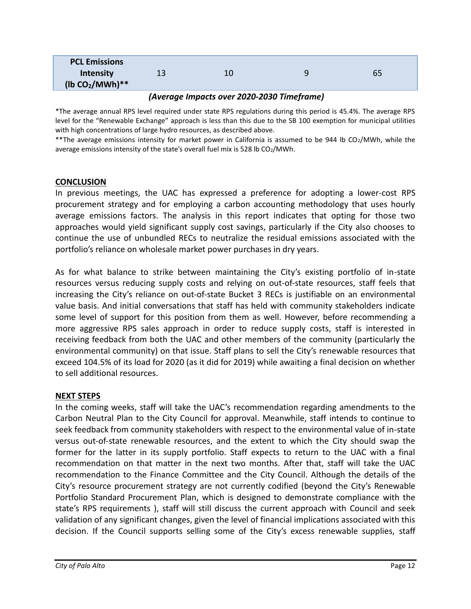| <b>PCL Emissions</b> |    |    |    |
|----------------------|----|----|----|
| Intensity            | 13 | 10 | 65 |
| (lb $CO2/MWh)**$     |    |    |    |

#### *(Average Impacts over 2020-2030 Timeframe)*

\*The average annual RPS level required under state RPS regulations during this period is 45.4%. The average RPS level for the "Renewable Exchange" approach is less than this due to the SB 100 exemption for municipal utilities with high concentrations of large hydro resources, as described above.

\*\*The average emissions intensity for market power in California is assumed to be 944 lb CO<sub>2</sub>/MWh, while the average emissions intensity of the state's overall fuel mix is 528 lb  $CO<sub>2</sub>/MWh$ .

#### **CONCLUSION**

In previous meetings, the UAC has expressed a preference for adopting a lower-cost RPS procurement strategy and for employing a carbon accounting methodology that uses hourly average emissions factors. The analysis in this report indicates that opting for those two approaches would yield significant supply cost savings, particularly if the City also chooses to continue the use of unbundled RECs to neutralize the residual emissions associated with the portfolio's reliance on wholesale market power purchases in dry years.

As for what balance to strike between maintaining the City's existing portfolio of in-state resources versus reducing supply costs and relying on out-of-state resources, staff feels that increasing the City's reliance on out-of-state Bucket 3 RECs is justifiable on an environmental value basis. And initial conversations that staff has held with community stakeholders indicate some level of support for this position from them as well. However, before recommending a more aggressive RPS sales approach in order to reduce supply costs, staff is interested in receiving feedback from both the UAC and other members of the community (particularly the environmental community) on that issue. Staff plans to sell the City's renewable resources that exceed 104.5% of its load for 2020 (as it did for 2019) while awaiting a final decision on whether to sell additional resources.

#### **NEXT STEPS**

In the coming weeks, staff will take the UAC's recommendation regarding amendments to the Carbon Neutral Plan to the City Council for approval. Meanwhile, staff intends to continue to seek feedback from community stakeholders with respect to the environmental value of in-state versus out-of-state renewable resources, and the extent to which the City should swap the former for the latter in its supply portfolio. Staff expects to return to the UAC with a final recommendation on that matter in the next two months. After that, staff will take the UAC recommendation to the Finance Committee and the City Council. Although the details of the City's resource procurement strategy are not currently codified (beyond the City's Renewable Portfolio Standard Procurement Plan, which is designed to demonstrate compliance with the state's RPS requirements ), staff will still discuss the current approach with Council and seek validation of any significant changes, given the level of financial implications associated with this decision. If the Council supports selling some of the City's excess renewable supplies, staff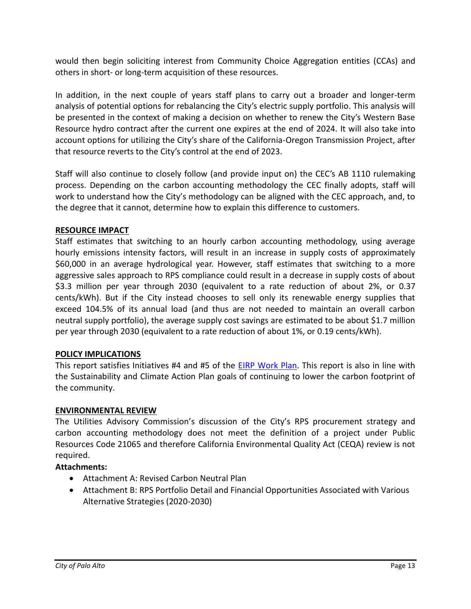would then begin soliciting interest from Community Choice Aggregation entities (CCAs) and others in short- or long-term acquisition of these resources.

In addition, in the next couple of years staff plans to carry out a broader and longer-term analysis of potential options for rebalancing the City's electric supply portfolio. This analysis will be presented in the context of making a decision on whether to renew the City's Western Base Resource hydro contract after the current one expires at the end of 2024. It will also take into account options for utilizing the City's share of the California-Oregon Transmission Project, after that resource reverts to the City's control at the end of 2023.

Staff will also continue to closely follow (and provide input on) the CEC's AB 1110 rulemaking process. Depending on the carbon accounting methodology the CEC finally adopts, staff will work to understand how the City's methodology can be aligned with the CEC approach, and, to the degree that it cannot, determine how to explain this difference to customers.

## **RESOURCE IMPACT**

Staff estimates that switching to an hourly carbon accounting methodology, using average hourly emissions intensity factors, will result in an increase in supply costs of approximately \$60,000 in an average hydrological year. However, staff estimates that switching to a more aggressive sales approach to RPS compliance could result in a decrease in supply costs of about \$3.3 million per year through 2030 (equivalent to a rate reduction of about 2%, or 0.37 cents/kWh). But if the City instead chooses to sell only its renewable energy supplies that exceed 104.5% of its annual load (and thus are not needed to maintain an overall carbon neutral supply portfolio), the average supply cost savings are estimated to be about \$1.7 million per year through 2030 (equivalent to a rate reduction of about 1%, or 0.19 cents/kWh).

#### **POLICY IMPLICATIONS**

This report satisfies Initiatives #4 and #5 of the [EIRP Work Plan.](https://www.cityofpaloalto.org/civicax/filebank/documents/67789) This report is also in line with the Sustainability and Climate Action Plan goals of continuing to lower the carbon footprint of the community.

#### **ENVIRONMENTAL REVIEW**

The Utilities Advisory Commission's discussion of the City's RPS procurement strategy and carbon accounting methodology does not meet the definition of a project under Public Resources Code 21065 and therefore California Environmental Quality Act (CEQA) review is not required.

#### **Attachments:**

- Attachment A: Revised Carbon Neutral Plan
- Attachment B: RPS Portfolio Detail and Financial Opportunities Associated with Various Alternative Strategies (2020-2030)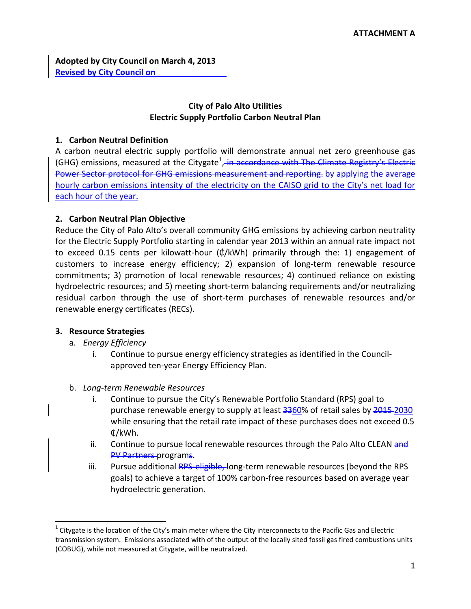**Adopted by City Council on March 4, 2013 Revised by City Council on \_\_\_\_\_\_\_\_\_\_\_\_\_\_\_**

#### **City of Palo Alto Utilities Electric Supply Portfolio Carbon Neutral Plan**

#### **1. Carbon Neutral Definition**

A carbon neutral electric supply portfolio will demonstrate annual net zero greenhouse gas (GHG) emissions, measured at the Citygate<sup>1</sup>, in accordance with The Climate Registry's Electric Power Sector protocol for GHG emissions measurement and reporting. by applying the average hourly carbon emissions intensity of the electricity on the CAISO grid to the City's net load for each hour of the year.

#### **2. Carbon Neutral Plan Objective**

Reduce the City of Palo Alto's overall community GHG emissions by achieving carbon neutrality for the Electric Supply Portfolio starting in calendar year 2013 within an annual rate impact not to exceed 0.15 cents per kilowatt-hour  $(\phi/kWh)$  primarily through the: 1) engagement of customers to increase energy efficiency; 2) expansion of long-term renewable resource commitments; 3) promotion of local renewable resources; 4) continued reliance on existing hydroelectric resources; and 5) meeting short-term balancing requirements and/or neutralizing residual carbon through the use of short-term purchases of renewable resources and/or renewable energy certificates (RECs).

#### **3. Resource Strategies**

a. *Energy Efficiency* 

- i. Continue to pursue energy efficiency strategies as identified in the Council‐ approved ten‐year Energy Efficiency Plan.
- b. *Long‐term Renewable Resources*
	- i. Continue to pursue the City's Renewable Portfolio Standard (RPS) goal to purchase renewable energy to supply at least 3360% of retail sales by 2015-2030 while ensuring that the retail rate impact of these purchases does not exceed 0.5 ₵/kWh.
	- ii. Continue to pursue local renewable resources through the Palo Alto CLEAN and PV Partners programs.
	- iii. Pursue additional RPS eligible, long-term renewable resources (beyond the RPS goals) to achieve a target of 100% carbon‐free resources based on average year hydroelectric generation.

 $1$  Citygate is the location of the City's main meter where the City interconnects to the Pacific Gas and Electric transmission system. Emissions associated with of the output of the locally sited fossil gas fired combustions units (COBUG), while not measured at Citygate, will be neutralized.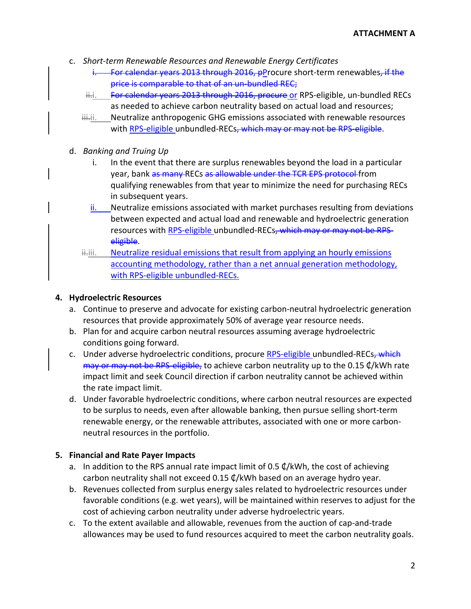- c. *Short‐term Renewable Resources and Renewable Energy Certificates*
	- For calendar years 2013 through 2016, pProcure short-term renewables, if the price is comparable to that of an un-bundled REC;
	- ii.i. For calendar years 2013 through 2016, procure or RPS-eligible, un-bundled RECs as needed to achieve carbon neutrality based on actual load and resources;
	- iii. Neutralize anthropogenic GHG emissions associated with renewable resources with RPS-eligible unbundled-RECs, which may or may not be RPS eligible.
- d. *Banking and Truing Up*
	- i. In the event that there are surplus renewables beyond the load in a particular year, bank as many RECs as allowable under the TCR EPS protocol from qualifying renewables from that year to minimize the need for purchasing RECs in subsequent years.
	- ii. Neutralize emissions associated with market purchases resulting from deviations between expected and actual load and renewable and hydroelectric generation resources with RPS-eligible unbundled-RECs, which may or may not be RPSeligible.
	- iiii. Neutralize residual emissions that result from applying an hourly emissions accounting methodology, rather than a net annual generation methodology, with RPS-eligible unbundled-RECs.

#### **4. Hydroelectric Resources**

- a. Continue to preserve and advocate for existing carbon‐neutral hydroelectric generation resources that provide approximately 50% of average year resource needs.
- b. Plan for and acquire carbon neutral resources assuming average hydroelectric conditions going forward.
- c. Under adverse hydroelectric conditions, procure RPS-eligible unbundled-RECs, which may or may not be RPS-eligible, to achieve carbon neutrality up to the 0.15 ¢/kWh rate impact limit and seek Council direction if carbon neutrality cannot be achieved within the rate impact limit.
- d. Under favorable hydroelectric conditions, where carbon neutral resources are expected to be surplus to needs, even after allowable banking, then pursue selling short-term renewable energy, or the renewable attributes, associated with one or more carbon‐ neutral resources in the portfolio.

#### **5. Financial and Rate Payer Impacts**

- a. In addition to the RPS annual rate impact limit of 0.5  $\mathcal{L}/kWh$ , the cost of achieving carbon neutrality shall not exceed 0.15 ₵/kWh based on an average hydro year.
- b. Revenues collected from surplus energy sales related to hydroelectric resources under favorable conditions (e.g. wet years), will be maintained within reserves to adjust for the cost of achieving carbon neutrality under adverse hydroelectric years.
- c. To the extent available and allowable, revenues from the auction of cap‐and‐trade allowances may be used to fund resources acquired to meet the carbon neutrality goals.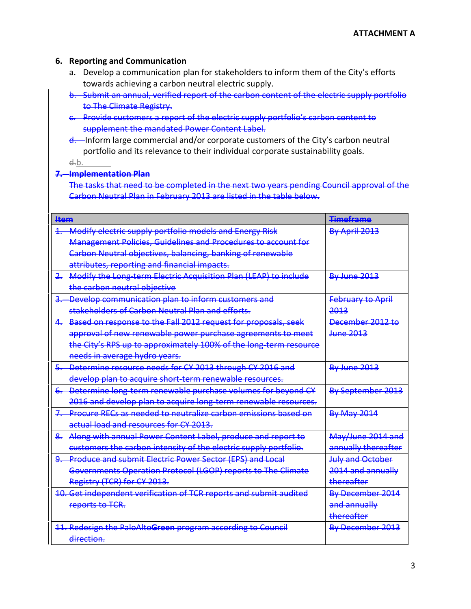#### **6. Reporting and Communication**

- a. Develop a communication plan for stakeholders to inform them of the City's efforts towards achieving a carbon neutral electric supply.
- b. Submit an annual, verified report of the carbon content of the electric supply portfolio to The Climate Registry.
- c. Provide customers a report of the electric supply portfolio's carbon content to supplement the mandated Power Content Label.
- d. Inform large commercial and/or corporate customers of the City's carbon neutral portfolio and its relevance to their individual corporate sustainability goals.

d.b.

## **7. Implementation Plan**

The tasks that need to be completed in the next two years pending Council approval of the Carbon Neutral Plan in February 2013 are listed in the table below.

| <b>Hem</b>              |                                                                      | <b>Timeframe</b>         |
|-------------------------|----------------------------------------------------------------------|--------------------------|
| 1                       | Modify electric supply portfolio models and Energy Risk              | By April 2013            |
|                         | <b>Management Policies, Guidelines and Procedures to account for</b> |                          |
|                         | Carbon Neutral objectives, balancing, banking of renewable           |                          |
|                         | attributes, reporting and financial impacts.                         |                          |
|                         | Modify the Long term Electric Acquisition Plan (LEAP) to include     | <b>By June 2013</b>      |
|                         | the carbon neutral objective                                         |                          |
|                         | Develop communication plan to inform customers and                   | <b>February to April</b> |
|                         | stakeholders of Carbon Neutral Plan and efforts.                     | 2013                     |
| $\overline{\mathbf{4}}$ | Based on response to the Fall 2012 request for proposals, seek       | December 2012 to         |
|                         | approval of new renewable power purchase agreements to meet          | <del>June 2013</del>     |
|                         | the City's RPS up to approximately 100% of the long term resource    |                          |
|                         | needs in average hydro years.                                        |                          |
|                         | Determine resource needs for CY 2013 through CY 2016 and             | <b>By June 2013</b>      |
|                         | develop plan to acquire short-term renewable resources.              |                          |
|                         | 6. Determine long-term renewable purchase volumes for beyond CY      | By September 2013        |
|                         | 2016 and develop plan to acquire long term renewable resources.      |                          |
| 7.                      | Procure RECs as needed to neutralize carbon emissions based on       | <b>By May 2014</b>       |
|                         | actual load and resources for CY 2013.                               |                          |
| <del>8.</del>           | Along with annual Power Content Label, produce and report to         | May/June 2014 and        |
|                         | customers the carbon intensity of the electric supply portfolio.     | annually thereafter      |
|                         | 9. Produce and submit Electric Power Sector (EPS) and Local          | <b>July and October</b>  |
|                         | Governments Operation Protocol (LGOP) reports to The Climate         | 2014 and annually        |
|                         | Registry (TCR) for CY 2013.                                          | thereafter               |
|                         | 10. Get independent verification of TCR reports and submit audited   | By December 2014         |
|                         | reports to TCR.                                                      | and annually             |
|                         |                                                                      | thereafter               |
|                         | 11. Redesign the PaloAltoGreen program according to Council          | By December 2013         |
|                         | direction.                                                           |                          |